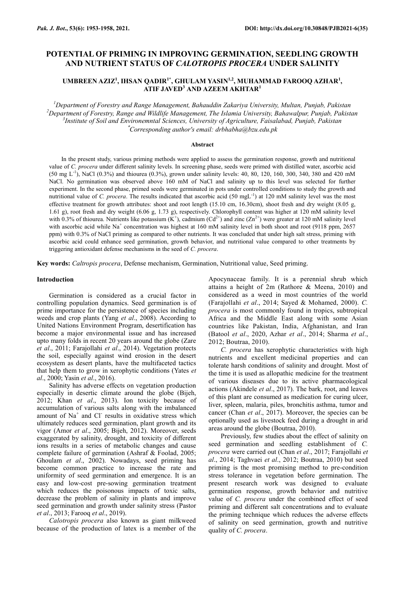# **POTENTIAL OF PRIMING IN IMPROVING GERMINATION, SEEDLING GROWTH AND NUTRIENT STATUS OF** *CALOTROPIS PROCERA* **UNDER SALINITY**

# **UMBREEN AZIZ<sup>1</sup> , IHSAN QADIR1\*, GHULAM YASIN1,2 , MUHAMMAD FAROOQ AZHAR<sup>1</sup> , ATIF JAVED<sup>3</sup> AND AZEEM AKHTAR<sup>1</sup>**

*Department of Forestry and Range Management, Bahauddin Zakariya University, Multan, Punjab, Pakistan Department of Forestry, Range and Wildlife Management, The Islamia University, Bahawalpur, Punjab, Pakistan Institute of Soil and Environemntal Sciences, University of Agriculture, Faisalabad, Punjab, Pakistan* \**Corresponding author's email: drbhabha@bzu.edu.pk*

#### **Abstract**

In the present study, various priming methods were applied to assess the germination response, growth and nutritional value of *C. procera* under different salinity levels. In screening phase, seeds were primed with distilled water, ascorbic acid  $(50 \text{ mg } L^{-1})$ , NaCl  $(0.3\%)$  and thiourea  $(0.3\%)$ , grown under salinity levels: 40, 80, 120, 160, 300, 340, 380 and 420 mM NaCl. No germination was observed above 160 mM of NaCl and salinity up to this level was selected for further experiment. In the second phase, primed seeds were germinated in pots under controlled conditions to study the growth and nutritional value of *C. procera*. The results indicated that ascorbic acid  $(50 \text{ mgL}^{-1})$  at 120 mM salinity level was the most effective treatment for growth attributes: shoot and root length (15.10 cm, 16.30cm), shoot fresh and dry weight (8.05 g, 1.61 g), root fresh and dry weight (6.06 g, 1.73 g), respectively. Chlorophyll content was higher at 120 mM salinity level with 0.3% of thiourea. Nutrients like potassium  $(K^+)$ , cadmium  $(Cd^{2+})$  and zinc  $(Zn^{2+})$  were greater at 120 mM salinity level with ascorbic acid while Na<sup>+</sup> concentration was highest at 160 mM salinity level in both shoot and root (9118 ppm, 2657) ppm) with 0.3% of NaCl priming as compared to other nutrients. It was concluded that under high salt stress, priming with ascorbic acid could enhance seed germination, growth behavior, and nutritional value compared to other treatments by triggering antioxidant defense mechanisms in the seed of *C. procera*.

**Key words:** *Caltropis procera*, Defense mechanism, Germination, Nutritional value, Seed priming.

#### **Introduction**

Germination is considered as a crucial factor in controlling population dynamics. Seed germination is of prime importance for the persistence of species including weeds and crop plants (Yang *et al*., 2008). According to United Nations Environment Program, desertification has become a major environmental issue and has increased upto many folds in recent 20 years around the globe (Zare *et al*., 2011; Farajollahi *et al*., 2014). Vegetation protects the soil, especially against wind erosion in the desert ecosystem as desert plants, have the multifaceted tactics that help them to grow in xerophytic conditions (Yates *et al*., 2000; Yasin *et al*., 2016).

Salinity has adverse effects on vegetation production especially in desertic climate around the globe (Bijeh, 2012; Khan *et al*., 2013). Ion toxicity because of accumulation of various salts along with the imbalanced amount of  $Na<sup>+</sup>$  and Cl results in oxidative stress which ultimately reduces seed germination, plant growth and its vigor (Amor *et al*., 2005; Bijeh, 2012). Moreover, seeds exaggerated by salinity, drought, and toxicity of different ions results in a series of metabolic changes and cause complete failure of germination (Ashraf & Foolad, 2005; Ghoulam *et al*., 2002). Nowadays, seed priming has become common practice to increase the rate and uniformity of seed germination and emergence. It is an easy and low-cost pre-sowing germination treatment which reduces the poisonous impacts of toxic salts, decrease the problem of salinity in plants and improve seed germination and growth under salinity stress (Pastor *et al*., 2013; Farooq *et al*., 2019).

*Calotropis procera* also known as giant milkweed because of the production of latex is a member of the Apocynaceae family. It is a perennial shrub which attains a height of 2m (Rathore & Meena, 2010) and considered as a weed in most countries of the world (Farajollahi *et al*., 2014; Sayed & Mohamed, 2000). *C. procera* is most commonly found in tropics, subtropical Africa and the Middle East along with some Asian countries like Pakistan, India, Afghanistan, and Iran (Batool *et al*., 2020, Azhar *et al*., 2014; Sharma *et al*., 2012; Boutraa, 2010).

*C. procera* has xerophytic characteristics with high nutrients and excellent medicinal properties and can tolerate harsh conditions of salinity and drought. Most of the time it is used as allopathic medicine for the treatment of various diseases due to its active pharmacological actions (Akindele *et al*., 2017). The bark, root, and leaves of this plant are consumed as medication for curing ulcer, liver, spleen, malaria, piles, bronchitis asthma, tumor and cancer (Chan *et al*., 2017). Moreover, the species can be optionally used as livestock feed during a drought in arid areas around the globe (Boutraa, 2010).

Previously, few studies about the effect of salinity on seed germination and seedling establishment of *C. procera* were carried out (Chan *et al*., 2017; Farajollahi *et al*., 2014; Taghvaei *et al*., 2012; Boutraa, 2010) but seed priming is the most promising method to pre-condition stress tolerance in vegetation before germination. The present research work was designed to evaluate germination response, growth behavior and nutritive value of *C. procera* under the combined effect of seed priming and different salt concentrations and to evaluate the priming technique which reduces the adverse effects of salinity on seed germination, growth and nutritive quality of *C. procera*.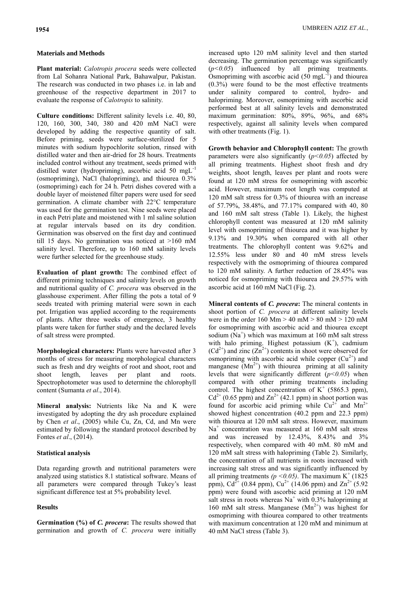### **Materials and Methods**

**Plant material:** *Calotropis procera* seeds were collected from Lal Sohanra National Park, Bahawalpur, Pakistan. The research was conducted in two phases i.e. in lab and greenhouse of the respective department in 2017 to evaluate the response of *Calotropis* to salinity.

**Culture conditions:** Different salinity levels i.e. 40, 80, 120, 160, 300, 340, 380 and 420 mM NaCl were developed by adding the respective quantity of salt. Before priming, seeds were surface-sterilized for 5 minutes with sodium hypochlorite solution, rinsed with distilled water and then air-dried for 28 hours. Treatments included control without any treatment, seeds primed with distilled water (hydropriming), ascorbic acid 50 mgL-1 (osmopriming), NaCl (halopriming), and thiourea 0.3% (osmopriming) each for 24 h. Petri dishes covered with a double layer of moistened filter papers were used for seed germination. A climate chamber with 22°C temperature was used for the germination test. Nine seeds were placed in each Petri plate and moistened with 1 ml saline solution at regular intervals based on its dry condition. Germination was observed on the first day and continued till 15 days. No germination was noticed at >160 mM salinity level. Therefore, up to 160 mM salinity levels were further selected for the greenhouse study.

**Evaluation of plant growth:** The combined effect of different priming techniques and salinity levels on growth and nutritional quality of *C. procera* was observed in the glasshouse experiment. After filling the pots a total of 9 seeds treated with priming material were sown in each pot. Irrigation was applied according to the requirements of plants. After three weeks of emergence, 3 healthy plants were taken for further study and the declared levels of salt stress were prompted.

**Morphological characters:** Plants were harvested after 3 months of stress for measuring morphological characters such as fresh and dry weights of root and shoot, root and shoot length, leaves per plant and roots. Spectrophotometer was used to determine the chlorophyll content (Sumanta *et al*., 2014).

**Mineral analysis:** Nutrients like Na and K were investigated by adopting the dry ash procedure explained by Chen *et al*., (2005) while Cu, Zn, Cd, and Mn were estimated by following the standard protocol described by Fontes *et al*., (2014).

### **Statistical analysis**

Data regarding growth and nutritional parameters were analyzed using statistics 8.1 statistical software. Means of all parameters were compared through Tukey's least significant difference test at 5% probability level.

## **Results**

**Germination (%) of** *C. procera***:** The results showed that germination and growth of *C. procera* were initially increased upto 120 mM salinity level and then started decreasing. The germination percentage was significantly (*p<0.05*) influenced by all priming treatments. Osmopriming with ascorbic acid  $(50 \text{ mgL}^{-1})$  and thiourea (0.3%) were found to be the most effective treatments under salinity compared to control, hydro- and halopriming. Moreover, osmopriming with ascorbic acid performed best at all salinity levels and demonstrated maximum germination: 80%, 89%, 96%, and 68% respectively, against all salinity levels when compared with other treatments (Fig. 1).

**Growth behavior and Chlorophyll content:** The growth parameters were also significantly  $(p<0.05)$  affected by all priming treatments. Highest shoot fresh and dry weights, shoot length, leaves per plant and roots were found at 120 mM stress for osmopriming with ascorbic acid. However, maximum root length was computed at 120 mM salt stress for 0.3% of thiourea with an increase of 57.79%, 38.48%, and 77.17% compared with 40, 80 and 160 mM salt stress (Table 1). Likely, the highest chlorophyll content was measured at 120 mM salinity level with osmopriming of thiourea and it was higher by 9.13% and 19.30% when compared with all other treatments. The chlorophyll content was 9.62% and 12.55% less under 80 and 40 mM stress levels respectively with the osmopriming of thiourea compared to 120 mM salinity. A further reduction of 28.45% was noticed for osmopriming with thiourea and 29.57% with ascorbic acid at 160 mM NaCl (Fig. 2).

**Mineral contents of** *C. procera***:** The mineral contents in shoot portion of *C. procera* at different salinity levels were in the order 160 Mm  $> 40$  mM  $> 80$  mM  $> 120$  mM for osmopriming with ascorbic acid and thiourea except sodium  $(Na^+)$  which was maximum at 160 mM salt stress with halo priming. Highest potassium  $(K^+)$ , cadmium  $(Cd^{2+})$  and zinc  $(Zn^{2+})$  contents in shoot were observed for osmopriming with ascorbic acid while copper  $(Cu^{2+})$  and manganese  $(Mn^{2+})$  with thiourea priming at all salinity levels that were significantly different (*p<0.05*) when compared with other priming treatments including control. The highest concentration of  $K^+$  (5865.3 ppm),  $Cd^{2+}$  (0.65 ppm) and  $Zn^{2+}$  (42.1 ppm) in shoot portion was found for ascorbic acid priming while  $Cu^{2+}$  and  $Mn^{2+}$ showed highest concentration (40.2 ppm and 22.3 ppm) with thiourea at 120 mM salt stress. However, maximum Na<sup>+</sup> concentration was measured at 160 mM salt stress and was increased by 12.43%, 8.43% and 3% respectively, when compared with 40 mM. 80 mM and 120 mM salt stress with halopriming (Table 2). Similarly, the concentration of all nutrients in roots increased with increasing salt stress and was significantly influenced by all priming treatments ( $p < 0.05$ ). The maximum K<sup>+</sup> (1825) ppm), Cd<sup>2+</sup> (0.84 ppm), Cu<sup>2+</sup> (14.06 ppm) and Zn<sup>2+</sup> (5.92 ppm) were found with ascorbic acid priming at 120 mM salt stress in roots whereas  $Na<sup>+</sup>$  with 0.3% halopriming at 160 mM salt stress. Manganese  $(Mn^{2+})$  was highest for osmopriming with thiourea compared to other treatments with maximum concentration at 120 mM and minimum at 40 mM NaCl stress (Table 3).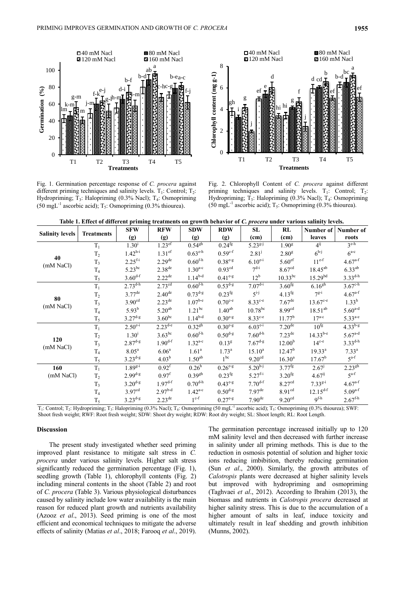$\Box$ 40 mM Nacl  $\Box$  120 mM Nacl  $\Box$  160 mM Nacl 160 mM Nacl a 100 ab b-d b-e a-c b-f 80 c-h c-g Germination (%) d-i **Germination (%)** e-j f-j f-k i-m g-m h-m g-l j-m 60 k-m lm m 40 20 0 T1 T2 T3 T4 T5 **Treatments**

Fig. 1. Germination percentage response of *C. procera* against different priming techniques and salinity levels.  $T_1$ : Control;  $T_2$ : Hydropriming; T<sub>3</sub>: Halopriming (0.3% Nacl); T<sub>4</sub>: Osmopriming (50 mgL<sup>-1</sup> ascorbic acid);  $T_5$ : Osmopriming (0.3% thiourea).



Fig. 2. Chlorophyll Content of *C. procera* against different priming techniques and salinity levels.  $T_1$ : Control;  $T_2$ : Hydropriming; T<sub>3</sub>: Halopriming (0.3% Nacl); T<sub>4</sub>: Osmopriming (50 mgL<sup>-1</sup> ascorbic acid); T<sub>5</sub>: Osmopriming (0.3% thiourea).

**Table 1. Effect of different priming treatments on growth behavior of** *C. procera* **under various salinity levels.** 

| <b>Salinity levels</b> | <b>Treatments</b> | <b>SFW</b>              | <b>RFW</b>           | <b>SDW</b>              | <b>RDW</b>          | SL                      | RL                   | Number of            | Number of               |
|------------------------|-------------------|-------------------------|----------------------|-------------------------|---------------------|-------------------------|----------------------|----------------------|-------------------------|
|                        |                   | (g)                     | (g)                  | (g)                     | (g)                 | (cm)                    | (cm)                 | leaves               | roots                   |
|                        | $T_1$             | $1.30^{i}$              | $1.23$ <sup>ef</sup> | $0.54$ <sup>gh</sup>    | 0.24 <sup>fg</sup>  | $5.23^{g-j}$            | 1.90 <sup>g</sup>    | $4^{ij}$             | $3^{\overline{e-h}}$    |
|                        | T <sub>2</sub>    | $1.42^{h-i}$            | 1.31 <sup>ef</sup>   | $0.63^{\text{e-h}}$     | $0.59^{c-f}$        | $2.81^{j}$              | 2.80 <sup>g</sup>    | $6^{h-j}$            | $6^{a-c}$               |
| 40<br>(mM NaCl)        | $T_3$             | $2.25^{f-i}$            | 2.29 <sup>de</sup>   | $0.60$ <sup>f-h</sup>   | $0.38^{e-g}$        | $6.10^{e-i}$            | 5.60 <sup>ef</sup>   | $11^{e-f}$           | $4.67^{a-f}$            |
|                        | T <sub>4</sub>    | $5.23^{bc}$             | 2.38 <sup>de</sup>   | $1.30^{a-c}$            | 0.93 <sup>cd</sup>  | $7^{d-i}$               | 8.67 <sup>cd</sup>   | $18.45^{ab}$         | $6.33^{ab}$             |
|                        | $T_5$             | $3.60^{d-f}$            | $2.22^{de}$          | $1.14^{b-d}$            | $0.41^{e-g}$        | $12^{\rm b}$            | $10.33^{bc}$         | $15.29^{bd}$         | $3.33^{d-h}$            |
|                        | $T_1$             | $2.73^{\overline{d-h}}$ | 2.73 <sup>cd</sup>   | $0.60$ <sup>f-h</sup>   | $0.53^{d-g}$        | $7.07^{\overline{d-i}}$ | 3.60 <sup>fg</sup>   | $6.16^{gh}$          | $3.67^{\text{c-h}}$     |
|                        | T <sub>2</sub>    | $3.77^{de}$             | $2.40^{\text{de}}$   | $0.73^{\text{d-g}}$     | $0.23^{fg}$         | $5^{i-j}$               | $4.13^{fg}$          | $7^{g-i}$            | $4.67^{a-f}$            |
| 80                     | $T_3$             | 3.90 <sup>cd</sup>      | $2.23^{\text{de}}$   | $1.07^{\rm b-e}$        | $0.70^{\text{c-e}}$ | $8.33^{\text{c-e}}$     | $7.67^{\text{de}}$   | $13.67^{\text{c-e}}$ | $1.33^h$                |
| (mM NaCl)              | T <sub>4</sub>    | $5.93^{b}$              | 5.20 <sup>ab</sup>   | $1.21^{bc}$             | $1.40^{ab}$         | $10.78^{bc}$            | 8.99 <sup>cd</sup>   | $18.51^{ab}$         | $5.60^{a-d}$            |
|                        | $T_5$             | $3.27^{d-g}$            | $3.60^{bc}$          | $1.14^{b-d}$            | $0.30^{e-g}$        | $8.33^{\text{c-e}}$     | $11.77^b$            | $17^{a-c}$           | $5.33^{a-e}$            |
| 120<br>(mM NaCl)       | $T_1$             | $2.50^{\overline{e-1}}$ | $2.23^{d-e}$         | $0.32^{gh}$             | $0.30^{e-g}$        | $6.03^{e-i}$            | $7.20$ <sup>de</sup> | 10 <sup>fg</sup>     | $4.\overline{33^{b-g}}$ |
|                        | T <sub>2</sub>    | $1.30^{i}$              | $3.63^{bc}$          | $0.60^{\rm f\text{-}h}$ | $0.50^{d-g}$        | $7.60^{\text{d-h}}$     | $7.23^{\text{de}}$   | $14.33^{b-e}$        | $5.67^{a-d}$            |
|                        | $T_3$             | $2.87^{\text{d-g}}$     | $1.90^{d-f}$         | $1.32^{a-c}$            | 0.13 <sup>g</sup>   | $7.67^{\text{d-g}}$     | 12.00 <sup>b</sup>   | $14^{\text{c-e}}$    | $3.33^{d-h}$            |
|                        | T <sub>4</sub>    | 8.05 <sup>a</sup>       | 6.06 <sup>a</sup>    | 1.61 <sup>a</sup>       | $1.73^{\rm a}$      | $15.10^a$               | 12.47 <sup>b</sup>   | $19.33^{a}$          | $7.33^{a}$              |
|                        | $T_5$             | $3.23^{d-g}$            | $4.03^{b}$           | 1.50 <sup>ab</sup>      | 1 <sup>bc</sup>     | 9.20 <sup>cd</sup>      | $16.30^{a}$          | $17.67^b$            | $5^{a-f}$               |
| 160                    | $T_1$             | $1.89^{g-i}$            | 0.92 <sup>f</sup>    | 0.26 <sup>h</sup>       | $0.26^{e-g}$        | $5.20^{h-j}$            | $3.77^{fg}$          | 2.67 <sup>j</sup>    | $2.23^{gh}$             |
| (mM NaCl)              | T <sub>2</sub>    | $2.99^{d-g}$            | $0.97^{\rm f}$       | 0.39 <sup>gh</sup>      | $0.23^{fg}$         | $5.27^{f-i}$            | $3.20^{fg}$          | $4.67^{ij}$          | $5^{a-f}$               |
|                        | $T_3$             | $3.20^{d-g}$            | $1.97^{d-f}$         | $0.70^{\text{d-h}}$     | $0.43^{e-g}$        | $7.70^{d-f}$            | 8.27 <sup>cd</sup>   | $7.33^{g-1}$         | $4.67^{a-f}$            |
|                        | T <sub>4</sub>    | 3.97 <sup>cd</sup>      | $2.97^{b-d}$         | $1.42^{a-c}$            | $0.50^{d-g}$        | $7.97$ <sup>de</sup>    | 8.91 <sup>cd</sup>   | $12.15^{d-f}$        | $5.09^{a-f}$            |
|                        | $T_5$             | $3.23^{d-g}$            | $2.23^{\text{de}}$   | $1^{c-f}$               | $0.27^{e-g}$        | 7.90 <sup>de</sup>      | 9.20 <sup>cd</sup>   | $9f-h$               | $2.67^{\text{f-h}}$     |

T<sub>1</sub>: Control; T<sub>2</sub>: Hydropriming; T<sub>3</sub>: Halopriming (0.3% Nacl); T<sub>4</sub>: Osmopriming (50 mgL<sup>-1</sup> ascorbic acid); T<sub>5</sub>: Osmopriming (0.3% thiourea); SWF: Shoot fresh weight; RWF: Root fresh weight; SDW: Shoot dry weight; RDW: Root dry weight; SL: Shoot length; RL: Root Length.

### **Discussion**

The present study investigated whether seed priming improved plant resistance to mitigate salt stress in *C. procera* under various salinity levels. Higher salt stress significantly reduced the germination percentage (Fig. 1), seedling growth (Table 1), chlorophyll contents (Fig. 2) including mineral contents in the shoot (Table 2) and root of *C. procera* (Table 3). Various physiological disturbances caused by salinity include low water availability is the main reason for reduced plant growth and nutrients availability (Azooz *et al*., 2013). Seed priming is one of the most efficient and economical techniques to mitigate the adverse effects of salinity (Matias *et al*., 2018; Farooq *et al*., 2019). The germination percentage increased initially up to 120 mM salinity level and then decreased with further increase in salinity under all priming methods. This is due to the reduction in osmosis potential of solution and higher toxic ions reducing imbibition, thereby reducing germination (Sun *et al*., 2000). Similarly, the growth attributes of *Calotropis* plants were decreased at higher salinity levels but improved with hydropriming and osmopriming (Taghvaei *et al*., 2012). According to Ibrahim (2013), the biomass and nutrients in *Calotropis procera* decreased at higher salinity stress. This is due to the accumulation of a higher amount of salts in leaf, induce toxicity and ultimately result in leaf shedding and growth inhibition (Munns, 2002).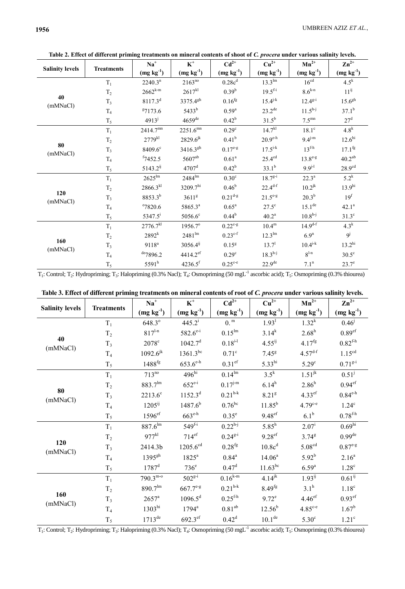$13.2^{\rm hi}$ 

 $30.5^\circ$ 

 $23.7^e$ 

 $10.4^{i-k}$ 

 $8^{\rm l \text{-} n}$ 

 $7.1^{\rm n}$ 

| Table 2. Effect of different priming treatments on inflieral contents of shoot of C. <i>procera</i> under various salinty levels. |                   |                     |                      |                    |                     |                    |                    |  |
|-----------------------------------------------------------------------------------------------------------------------------------|-------------------|---------------------|----------------------|--------------------|---------------------|--------------------|--------------------|--|
| <b>Salinity levels</b>                                                                                                            | <b>Treatments</b> | $Na+$               | $K^+$                | $Cd^{2+}$          | $Cu2+$              | $Mn^{2+}$          | $\mathbf{Zn}^{2+}$ |  |
|                                                                                                                                   |                   | $(mg kg-1)$         | $(mg kg-1)$          | $(mg kg-1)$        | $(mg kg-1)$         | $(mg kg-1)$        | $(mg kg^{-1})$     |  |
| 40<br>(mMNaCl)                                                                                                                    | $T_1$             | 2240.3 <sup>n</sup> | $2163^{no}$          | 0.28c <sup>d</sup> | $13.3^{lm}$         | 16 <sup>cd</sup>   | $4.5^k$            |  |
|                                                                                                                                   | T <sub>2</sub>    | $2662^{k-m}$        | $2617^{kl}$          | $0.39^{b}$         | $19.5^{f-i}$        | $8.6^{k-n}$        | $11^{ij}$          |  |
|                                                                                                                                   | $T_3$             | $8117.3^{d}$        | 3375.4 <sup>gh</sup> | 0.16 <sup>fg</sup> | $15.4^{j-k}$        | $12.4^{g-i}$       | 15.6 <sup>gh</sup> |  |
|                                                                                                                                   | T <sub>4</sub>    | 87173.6             | $5433^{b}$           | $0.59^{a}$         | $23.2^{\text{de}}$  | $11.5^{h-j}$       | $37.1^{b}$         |  |
|                                                                                                                                   | $T_5$             | $4913^{j}$          | $4659$ <sup>de</sup> | $0.42^{b}$         | $31.5^{b}$          | 7.5 <sup>mn</sup>  | 27 <sup>d</sup>    |  |
|                                                                                                                                   | $T_1$             | $2414.7^{mn}$       | $2251.6^{\rm mn}$    | 0.29 <sup>c</sup>  | $14.7^{kl}$         | $18.1^\circ$       | $4.8^k$            |  |
|                                                                                                                                   | T <sub>2</sub>    | $2779^{kl}$         | $2829.6^{jk}$        | $0.41^{b}$         | $20.9^{\text{e-h}}$ | $9.4^{j-m}$        | 12.6 <sup>hi</sup> |  |
| 80<br>(mMNaCl)                                                                                                                    | $T_3$             | $8409.6^{\circ}$    | $3416.3^{gh}$        | $0.17^{e-g}$       | $17.5^{i-k}$        | $13f-h$            | $17.1^{fg}$        |  |
|                                                                                                                                   | T <sub>4</sub>    | $f$ 7452.5          | $5607^{ab}$          | 0.61 <sup>a</sup>  | $25.4^{\text{cd}}$  | $13.8^{e-g}$       | 40.2 <sup>ab</sup> |  |
|                                                                                                                                   | $T_5$             | $5143.2^{ij}$       | $4707$ <sup>d</sup>  | $0.42^{\rm b}$     | $33.1^{b}$          | $9.9^{j-1}$        | 28.9 <sup>cd</sup> |  |
| 120<br>(mMNaCl)                                                                                                                   | $T_1$             | $2625^{\text{lm}}$  | $2484^{\text{lm}}$   | 0.30 <sup>c</sup>  | $18.7^{g-i}$        | $22.3^{\rm a}$     | $5.2^k$            |  |
|                                                                                                                                   | T <sub>2</sub>    | $2866.3^{kl}$       | 3209.7hi             | $0.46^{b}$         | $22.4^{d-f}$        | $10.2^{jk}$        | 13.9 <sup>hi</sup> |  |
|                                                                                                                                   | $T_3$             | $8853.3^{b}$        | 3611 <sup>g</sup>    | $0.21^{d-g}$       | $21.5^{e-g}$        | $20.3^{b}$         | 19 <sup>f</sup>    |  |
|                                                                                                                                   | T <sub>4</sub>    | $^{\circ}7820.6$    | 5865.3 <sup>a</sup>  | $0.65^{\rm a}$     | $27.5^{\circ}$      | $15.1^{\text{de}}$ | $42.1^a$           |  |
|                                                                                                                                   | $T_5$             | $5347.5^{\rm i}$    | $5056.6^\circ$       | $0.44^{b}$         | $40.2^{\rm a}$      | $10.8h-j$          | $31.3^\circ$       |  |
|                                                                                                                                   | $T_1$             | $2776.7^{kl}$       | 1956.7°              | $0.22^{c-g}$       | $10.4^{\rm m}$      | $14.9^{d-f}$       | 4.3 <sup>k</sup>   |  |
| $\sim$                                                                                                                            | $\rm T_2$         | $2892^{k}$          | $2481^{\text{lm}}$   | $0.23^{c-f}$       | $12.3^{\text{lm}}$  | 6.9 <sup>n</sup>   | $9^{j}$            |  |

arious salinity levels

 $T_1$ : Control; T<sub>2</sub>: Hydropriming; T<sub>3</sub>: Halopriming (0.3% Nacl); T<sub>4</sub>: Osmopriming (50 mgL<sup>-1</sup> ascorbic acid); T<sub>5</sub>: Osmopriming (0.3% thiourea)

 $0.15^{\rm g}$ 

 $0.29^{\circ}$ 

 $0.25^{\mathrm{c-e}}$ 

 $13.7^{\rm l}$ 

 $18.3^{\rm h\text{-}j}$ 

 $22.9<sup>de</sup>$ 

 $3056.4^\mathrm{ij}$ 

 $4414.2$ ef

 $4236.5$ <sup>f</sup>

 $9118^{\rm a}$ 

 $de7896.2$ 

 $5591^h$ 

| Table 3. Effect of different priming treatments on mineral contents of root of C. <i>procera</i> under various salinity levels. |  |  |  |
|---------------------------------------------------------------------------------------------------------------------------------|--|--|--|
|                                                                                                                                 |  |  |  |

|                        | <b>Treatments</b> | $\mathbf{Na}^+$      | $\textbf{K}^+$         | $Cd^{2+}$                    | $Cu2+$                | $Mn^{2+}$            | $\mathbf{Zn}^{2+}$     |
|------------------------|-------------------|----------------------|------------------------|------------------------------|-----------------------|----------------------|------------------------|
| <b>Salinity levels</b> |                   | $(mg kg-1)$          | (mg kg <sup>1</sup> )  | $(mg kg-1)$                  | $(mg kg-1)$           | $(mg kg-1)$          | $(mg kg-1)$            |
| 40                     | $T_1$             | 648.3°               | $445.2^{i}$            | $0.^{\rm m}$                 | 1.93 <sup>1</sup>     | $1.32^{k}$           | $0.46^{j}$             |
|                        | T <sub>2</sub>    | $817^{l-n}$          | $582.6^{e-i}$          | $0.15^{lm}$                  | $3.14^{k}$            | 2.68 <sup>h</sup>    | 0.89 <sup>ef</sup>     |
|                        | $T_3$             | $2078^{\circ}$       | 1042.7 <sup>d</sup>    | $0.18^{i-l}$                 | $4.55^{ij}$           | $4.17^{fg}$          | $0.82^{\text{fh}}$     |
| (mMNaCl)               | T <sub>4</sub>    | $1092.6^{jk}$        | $1361.3^{bc}$          | $0.71^\circ$                 | $7.45^{\rm g}$        | $4.57^{d-f}$         | 1.15 <sup>cd</sup>     |
|                        | $T_5$             | $1488$ <sup>fg</sup> | $653.6^{\text{e-h}}$   | 0.31 <sup>ef</sup>           | $5.33^{hi}$           | $5.29^\circ$         | $0.71^{g-i}$           |
|                        | $T_1$             | $713^{no}$           | $496^{\overline{hi}}$  | 0.14 <sup>lm</sup>           | $3.5^{\overline{k}}$  | $1.51^{jk}$          | $0.51^{j}$             |
|                        | T <sub>2</sub>    | 883.7 <sup>lm</sup>  | $652^{e-i}$            | $0.17^{\mathrm{j}\text{-m}}$ | $6.14^h$              | 2.86 <sup>h</sup>    | 0.94 <sup>ef</sup>     |
| 80<br>(mMNaCl)         | $T_3$             | $2213.6^{\circ}$     | $1152.3^d$             | $0.21^{h-k}$                 | 8.21 <sup>g</sup>     | $4.33$ <sup>ef</sup> | $0.84^{\text{e-h}}$    |
|                        | T <sub>4</sub>    | $1205^{ij}$          | $1487.6^{b}$           | $0.76^{bc}$                  | $11.85^{b}$           | $4.79^{c-e}$         | 1.24 <sup>c</sup>      |
|                        | $T_5$             | $1596$ <sup>ef</sup> | $663^{\text{e-h}}$     | $0.35^{\circ}$               | 9.48 <sup>ef</sup>    | 6.1 <sup>b</sup>     | $0.78^{\rm f \cdot h}$ |
|                        | $T_1$             | $887.6^{\rm lm}$     | $549^{\overline{f-i}}$ | $0.22^{h-j}$                 | $5.85^{\overline{h}}$ | $2.07^{\rm i}$       | $0.69^{\overline{hi}}$ |
|                        | T <sub>2</sub>    | $977^{kl}$           | 714 <sup>ef</sup>      | $0.24^{g-i}$                 | $9.28$ ef             | 3.74 <sup>g</sup>    | 0.99 <sup>de</sup>     |
| 120<br>(mMNaCl)        | $T_3$             | 2414.3b              | $1205.6^{cd}$          | $0.28$ <sup>fg</sup>         | 10.8c <sup>d</sup>    | 5.08 <sup>cd</sup>   | $0.87^{\text{e-g}}$    |
|                        | T <sub>4</sub>    | 1395 <sup>gh</sup>   | $1825^a$               | $0.84^{\rm a}$               | $14.06^a$             | $5.92^{b}$           | 2.16 <sup>a</sup>      |
|                        | $T_5$             | $1787^{\rm d}$       | 736 <sup>e</sup>       | $0.47^{\rm d}$               | $11.63^{bc}$          | 6.59 <sup>a</sup>    | 1.28 <sup>c</sup>      |
|                        | $T_1$             | $790.3^{\text{m-o}}$ | $502^{g-i}$            | $0.16^{k-m}$                 | $4.14^{jk}$           | $1.93^{ij}$          | $0.61^{i}$             |
| 160<br>(mMNaCl)        | T <sub>2</sub>    | 890.7 <sup>lm</sup>  | $667.7^{\text{e-g}}$   | $0.21^{h-k}$                 | $8.49^{fg}$           | $3.1^h$              | 1.18 <sup>c</sup>      |
|                        | $T_3$             | $2657^{\rm a}$       | $1096.5^d$             | $0.25^{\text{fh}}$           | $9.72^e$              | $4.46$ ef            | $0.93$ <sup>ef</sup>   |
|                        | T <sub>4</sub>    | 1303 <sup>hi</sup>   | $1794^{\rm a}$         | 0.81 <sup>ab</sup>           | $12.56^{b}$           | $4.85^{\circ -e}$    | $1.67^{\rm b}$         |
|                        | $T_5$             | $1713^{\text{de}}$   | $692.3$ <sup>ef</sup>  | $0.42^d$                     | 10.1 <sup>de</sup>    | $5.30^{\circ}$       | $1.21^\circ$           |

 $T_1$ : Control; T<sub>2</sub>: Hydropriming; T<sub>3</sub>: Halopriming (0.3% Nacl); T<sub>4</sub>: Osmopriming (50 mgL<sup>-1</sup> ascorbic acid); T<sub>5</sub>: Osmopriming (0.3% thiourea)

160

(mMNaCl)

 $\rm T_3$ 

 $T<sub>4</sub>$ 

 $T_5$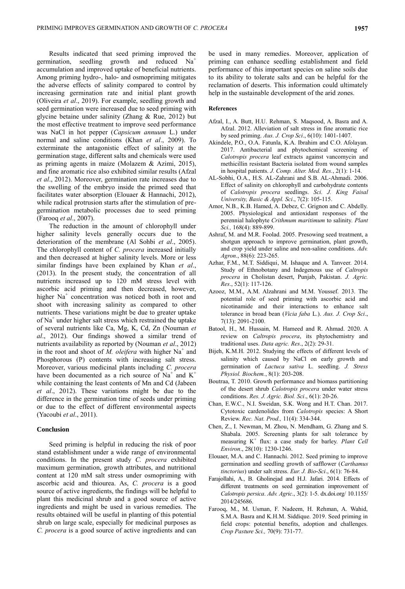Results indicated that seed priming improved the germination, seedling growth and reduced  $Na<sup>+</sup>$ accumulation and improved uptake of beneficial nutrients. Among priming hydro-, halo- and osmopriming mitigates the adverse effects of salinity compared to control by increasing germination rate and initial plant growth (Oliveira *et al*., 2019). For example, seedling growth and seed germination were increased due to seed priming with glycine betaine under salinity (Zhang & Rue, 2012) but the most effective treatment to improve seed performance was NaCl in hot pepper (*Capsicum annuum* L.) under normal and saline conditions (Khan *et al*., 2009). To exterminate the antagonistic effect of salinity at the germination stage, different salts and chemicals were used as priming agents in maize (Molazem & Azimi, 2015), and fine aromatic rice also exhibited similar results (Afzal *et al*., 2012). Moreover, germination rate increases due to the swelling of the embryo inside the primed seed that facilitates water absorption (Elouaer & Hannachi, 2012), while radical protrusion starts after the stimulation of pregermination metabolic processes due to seed priming (Farooq *et al*., 2007).

The reduction in the amount of chlorophyll under higher salinity levels generally occurs due to the deterioration of the membrane (Al Sohbi *et al*., 2005). The chlorophyll content of *C. procera* increased initially and then decreased at higher salinity levels. More or less similar findings have been explained by Khan *et al*., (2013). In the present study, the concentration of all nutrients increased up to 120 mM stress level with ascorbic acid priming and then decreased, however, higher Na<sup>+</sup> concentration was noticed both in root and shoot with increasing salinity as compared to other nutrients. These variations might be due to greater uptake of Na<sup>+</sup> under higher salt stress which restrained the uptake of several nutrients like Ca, Mg, K, Cd, Zn (Nouman *et al*., 2012). Our findings showed a similar trend of nutrients availability as reported by (Nouman *et al*., 2012) in the root and shoot of  $\overline{M}$ . *oleifera* with higher Na<sup>+</sup> and Phosphorous (P) contents with increasing salt stress. Moreover, various medicinal plants including *C. procera*  have been documented as a rich source of  $Na<sup>+</sup>$  and  $K<sup>+</sup>$ while containing the least contents of Mn and Cd (Jabeen *et al*., 2012). These variations might be due to the difference in the germination time of seeds under priming or due to the effect of different environmental aspects (Yacoubi *et al*., 2011).

### **Conclusion**

Seed priming is helpful in reducing the risk of poor stand establishment under a wide range of environmental conditions. In the present study *C. procera* exhibited maximum germination, growth attributes, and nutritional content at 120 mM salt stress under osmopriming with ascorbic acid and thiourea. As, *C. procera* is a good source of active ingredients, the findings will be helpful to plant this medicinal shrub and a good source of active ingredients and might be used in various remedies. The results obtained will be useful in planting of this potential shrub on large scale, especially for medicinal purposes as *C. procera* is a good source of active ingredients and can be used in many remedies. Moreover, application of priming can enhance seedling establishment and field performance of this important species on saline soils due to its ability to tolerate salts and can be helpful for the reclamation of deserts. This information could ultimately help in the sustainable development of the arid zones.

### **References**

- Afzal, I., A. Butt, H.U. Rehman, S. Maqsood, A. Basra and A. Afzal. 2012. Alleviation of salt stress in fine aromatic rice by seed priming. *Aus. J. Crop Sci*., 6(10): 1401-1407.
- Akindele, P.O., O.A. Fatunla, K.A. Ibrahim and C.O. Afolayan. 2017. Antibacterial and phytochemical screening of *Calotropis procera* leaf extracts against vancomycin and methicillin resistant Bacteria isolated from wound samples in hospital patients. *J. Comp. Alter. Med. Res.*, 2(1): 1-14.
- AL-Sobhi, O.A., H.S. AL-Zahrani and S.B. AL-Ahmadi. 2006. Effect of salinity on chlorophyll and carbohydrate contents of *Calotropis procera* seedlings. *Sci. J. King Faisal University, Basic & Appl. Sci*., 7(2): 105-115.
- Amor, N.B., K.B. Hamed, A. Debez, C. Grignon and C. Abdelly. 2005. Physiological and antioxidant responses of the perennial halophyte *Crithmum maritimum* to salinity*. Plant Sci.,* 168(4): 889-899.
- Ashraf, M. and M.R. Foolad. 2005. Presowing seed treatment, a shotgun approach to improve germination, plant growth, and crop yield under saline and non-saline conditions. *Adv. Agron*., 88(6): 223-265.
- Azhar, F.M., M.T. Siddiqui, M. Ishaque and A. Tanveer. 2014. Study of Ethnobotany and Indegenous use of *Caltropis procera* in Cholistan desert, Punjab, Pakistan. *J. Agric. Res*., 52(1): 117-126.
- Azooz, M.M., A.M. Alzahrani and M.M. Youssef. 2013. The potential role of seed priming with ascorbic acid and nicotinamide and their interactions to enhance salt tolerance in broad bean (*Vicia faba* L.). *[Aus. J. Crop Sci](https://www.researchgate.net/journal/1835-2693_Australian_Journal_of_Crop_Science)*., 7(13): 2091-2100.
- Batool, H., M. Hussain, M. Hameed and R. Ahmad. 2020. A review on *Caltropis procera*, its phytochemistry and traditional uses. *Data agric. Res*., 2(2): 29-31.
- Bijeh, K.M.H. 2012. Studying the effects of different levels of salinity which caused by NaCl on early growth and germination of *Lactuca sativa* L. seedling. *J. Stress Physiol. Biochem.*, 8(1): 203-208.
- Boutraa, T. 2010. Growth performance and biomass partitioning of the desert shrub *Calotropis procera* under water stress conditions. *Res. J. Agric. Biol. Sci*., 6(1): 20-26.
- Chan, E.W.C., N.I. Sweidan, S.K. Wong and H.T. Chan. 2017. Cytotoxic cardenolides from *Calotropis* species: A Short Review. *Rec. Nat. Prod.,* 11(4): 334-344.
- Chen, Z., I. Newman, M. Zhou, N. Mendham, G. Zhang and S. Shabala. 2005. Screening plants for salt tolerance by measuring K<sup>+</sup> flux: a case study for barley. *Plant Cell Environ*., 28(10): 1230-1246.
- Elouaer, M.A. and C. Hannachi. 2012. Seed priming to improve germination and seedling growth of safflower (*Carthamus tinctorius*) under salt stress. *Eur. J. Bio-Sci*., 6(1): 76-84.
- Farajollahi, A., B. Gholinejad and H.J. Jafari. 2014. Effects of different treatments on seed germination improvement of *Calotropis persica*. *Adv. Agric*., 3(2): 1-5. dx.doi.org/ 10.1155/ 2014/245686.
- Farooq, M., M. Usman, F. Nadeem, H. Rehman, A. Wahid, S.M.A. Basra and K.H.M. Siddique. 2019. Seed priming in field crops: potential benefits, adoption and challenges. *Crop Pasture Sci.,* 70(9): 731-77.